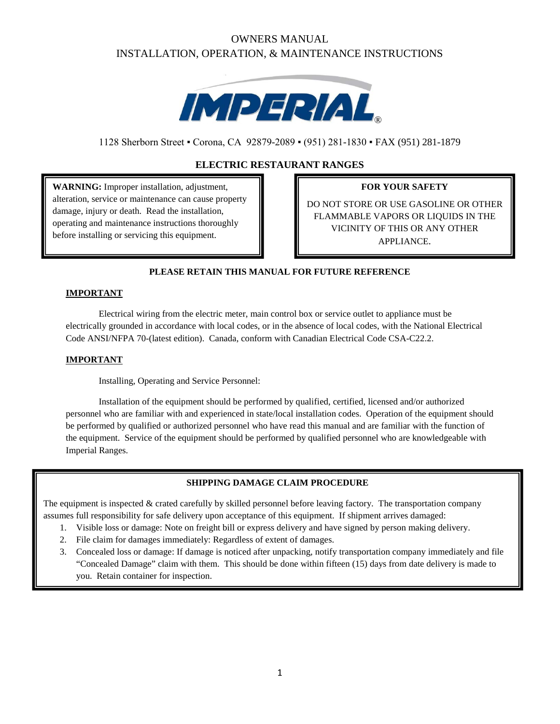# OWNERS MANUAL INSTALLATION, OPERATION, & MAINTENANCE INSTRUCTIONS



1128 Sherborn Street ▪ Corona, CA 92879-2089 ▪ (951) 281-1830 ▪ FAX (951) 281-1879

## **ELECTRIC RESTAURANT RANGES**

**WARNING:** Improper installation, adjustment, alteration, service or maintenance can cause property damage, injury or death. Read the installation, operating and maintenance instructions thoroughly before installing or servicing this equipment.

## **FOR YOUR SAFETY**

DO NOT STORE OR USE GASOLINE OR OTHER FLAMMABLE VAPORS OR LIQUIDS IN THE VICINITY OF THIS OR ANY OTHER APPLIANCE.

## **PLEASE RETAIN THIS MANUAL FOR FUTURE REFERENCE**

## **IMPORTANT**

Electrical wiring from the electric meter, main control box or service outlet to appliance must be electrically grounded in accordance with local codes, or in the absence of local codes, with the National Electrical Code ANSI/NFPA 70-(latest edition). Canada, conform with Canadian Electrical Code CSA-C22.2.

### **IMPORTANT**

Installing, Operating and Service Personnel:

Installation of the equipment should be performed by qualified, certified, licensed and/or authorized personnel who are familiar with and experienced in state/local installation codes. Operation of the equipment should be performed by qualified or authorized personnel who have read this manual and are familiar with the function of the equipment. Service of the equipment should be performed by qualified personnel who are knowledgeable with Imperial Ranges.

## **SHIPPING DAMAGE CLAIM PROCEDURE**

The equipment is inspected & crated carefully by skilled personnel before leaving factory. The transportation company assumes full responsibility for safe delivery upon acceptance of this equipment. If shipment arrives damaged:

- 1. Visible loss or damage: Note on freight bill or express delivery and have signed by person making delivery.
- 2. File claim for damages immediately: Regardless of extent of damages.
- 3. Concealed loss or damage: If damage is noticed after unpacking, notify transportation company immediately and file "Concealed Damage" claim with them. This should be done within fifteen (15) days from date delivery is made to you. Retain container for inspection.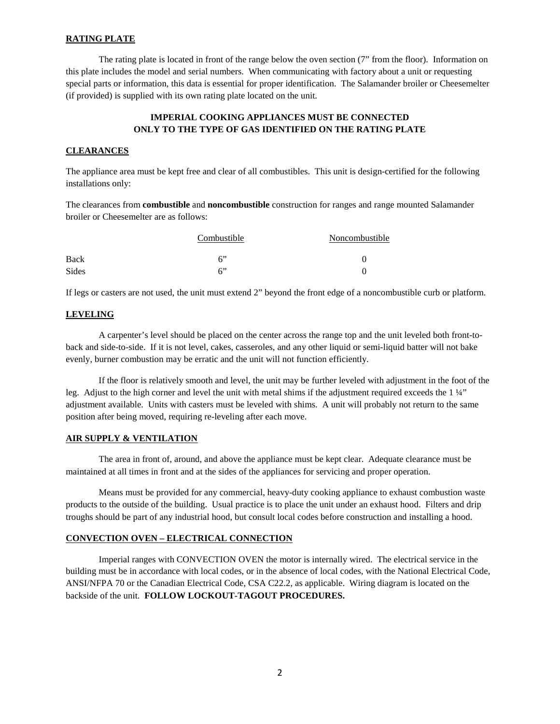### **RATING PLATE**

The rating plate is located in front of the range below the oven section (7" from the floor). Information on this plate includes the model and serial numbers. When communicating with factory about a unit or requesting special parts or information, this data is essential for proper identification. The Salamander broiler or Cheesemelter (if provided) is supplied with its own rating plate located on the unit.

## **IMPERIAL COOKING APPLIANCES MUST BE CONNECTED ONLY TO THE TYPE OF GAS IDENTIFIED ON THE RATING PLATE**

## **CLEARANCES**

The appliance area must be kept free and clear of all combustibles. This unit is design-certified for the following installations only:

The clearances from **combustible** and **noncombustible** construction for ranges and range mounted Salamander broiler or Cheesemelter are as follows:

|              | Combustible | Noncombustible |  |  |  |
|--------------|-------------|----------------|--|--|--|
| Back         | 6"          |                |  |  |  |
| <b>Sides</b> | 6           |                |  |  |  |

If legs or casters are not used, the unit must extend 2" beyond the front edge of a noncombustible curb or platform.

#### **LEVELING**

A carpenter's level should be placed on the center across the range top and the unit leveled both front-toback and side-to-side. If it is not level, cakes, casseroles, and any other liquid or semi-liquid batter will not bake evenly, burner combustion may be erratic and the unit will not function efficiently.

If the floor is relatively smooth and level, the unit may be further leveled with adjustment in the foot of the leg. Adjust to the high corner and level the unit with metal shims if the adjustment required exceeds the 1 ¼" adjustment available. Units with casters must be leveled with shims. A unit will probably not return to the same position after being moved, requiring re-leveling after each move.

## **AIR SUPPLY & VENTILATION**

The area in front of, around, and above the appliance must be kept clear. Adequate clearance must be maintained at all times in front and at the sides of the appliances for servicing and proper operation.

Means must be provided for any commercial, heavy-duty cooking appliance to exhaust combustion waste products to the outside of the building. Usual practice is to place the unit under an exhaust hood. Filters and drip troughs should be part of any industrial hood, but consult local codes before construction and installing a hood.

#### **CONVECTION OVEN – ELECTRICAL CONNECTION**

Imperial ranges with CONVECTION OVEN the motor is internally wired. The electrical service in the building must be in accordance with local codes, or in the absence of local codes, with the National Electrical Code, ANSI/NFPA 70 or the Canadian Electrical Code, CSA C22.2, as applicable. Wiring diagram is located on the backside of the unit. **FOLLOW LOCKOUT-TAGOUT PROCEDURES.**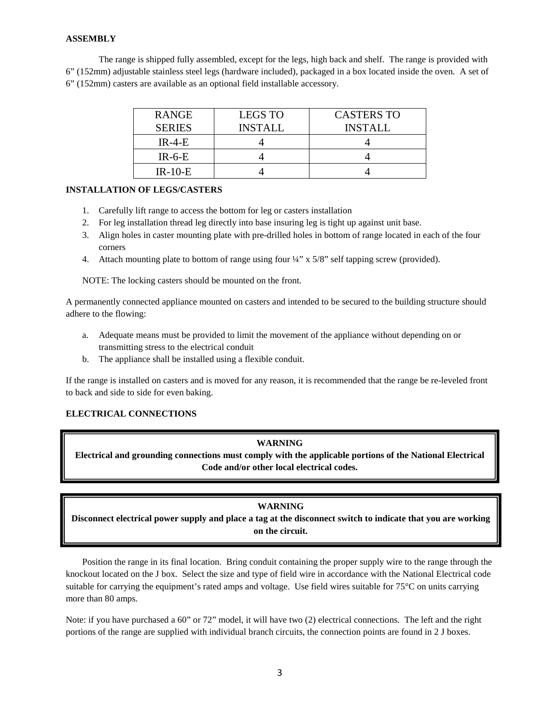## **ASSEMBLY**

The range is shipped fully assembled, except for the legs, high back and shelf. The range is provided with 6" (152mm) adjustable stainless steel legs (hardware included), packaged in a box located inside the oven. A set of 6" (152mm) casters are available as an optional field installable accessory.

| <b>RANGE</b>  | <b>LEGS TO</b> | <b>CASTERS TO</b> |
|---------------|----------------|-------------------|
| <b>SERIES</b> | <b>INSTALL</b> | <b>INSTALL</b>    |
| $IR-4-F$      |                |                   |
| $IR-6-E$      |                |                   |
| $IR-10-E$     |                |                   |

### **INSTALLATION OF LEGS/CASTERS**

- 1. Carefully lift range to access the bottom for leg or casters installation
- 2. For leg installation thread leg directly into base insuring leg is tight up against unit base.
- 3. Align holes in caster mounting plate with pre-drilled holes in bottom of range located in each of the four corners
- 4. Attach mounting plate to bottom of range using four ¼" x 5/8" self tapping screw (provided).

NOTE: The locking casters should be mounted on the front.

A permanently connected appliance mounted on casters and intended to be secured to the building structure should adhere to the flowing:

- a. Adequate means must be provided to limit the movement of the appliance without depending on or transmitting stress to the electrical conduit
- b. The appliance shall be installed using a flexible conduit.

If the range is installed on casters and is moved for any reason, it is recommended that the range be re-leveled front to back and side to side for even baking.

## **ELECTRICAL CONNECTIONS**

## **WARNING**

**Electrical and grounding connections must comply with the applicable portions of the National Electrical Code and/or other local electrical codes.**

## **WARNING**

**Disconnect electrical power supply and place a tag at the disconnect switch to indicate that you are working on the circuit.**

Position the range in its final location. Bring conduit containing the proper supply wire to the range through the knockout located on the J box. Select the size and type of field wire in accordance with the National Electrical code suitable for carrying the equipment's rated amps and voltage. Use field wires suitable for 75°C on units carrying more than 80 amps.

Note: if you have purchased a 60" or 72" model, it will have two (2) electrical connections. The left and the right portions of the range are supplied with individual branch circuits, the connection points are found in 2 J boxes.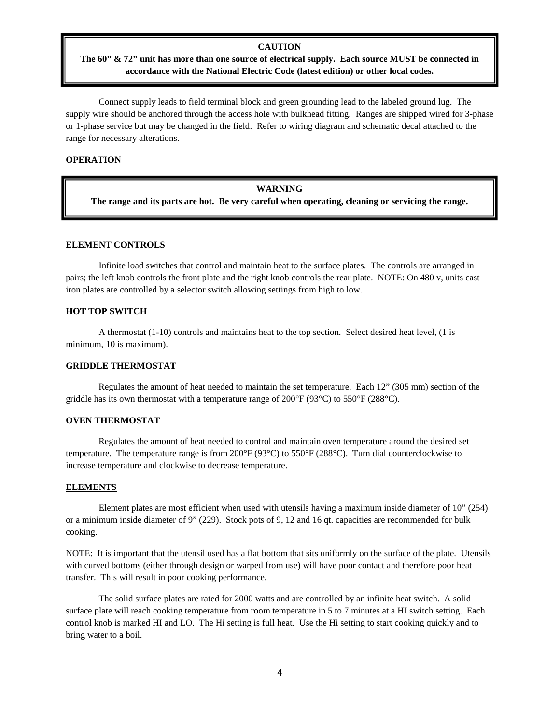#### **CAUTION**

## **The 60" & 72" unit has more than one source of electrical supply. Each source MUST be connected in accordance with the National Electric Code (latest edition) or other local codes.**

Connect supply leads to field terminal block and green grounding lead to the labeled ground lug. The supply wire should be anchored through the access hole with bulkhead fitting. Ranges are shipped wired for 3-phase or 1-phase service but may be changed in the field. Refer to wiring diagram and schematic decal attached to the range for necessary alterations.

#### **OPERATION**

#### **WARNING**

**The range and its parts are hot. Be very careful when operating, cleaning or servicing the range.**

#### **ELEMENT CONTROLS**

Infinite load switches that control and maintain heat to the surface plates. The controls are arranged in pairs; the left knob controls the front plate and the right knob controls the rear plate. NOTE: On 480 v, units cast iron plates are controlled by a selector switch allowing settings from high to low.

#### **HOT TOP SWITCH**

A thermostat (1-10) controls and maintains heat to the top section. Select desired heat level, (1 is minimum, 10 is maximum).

#### **GRIDDLE THERMOSTAT**

Regulates the amount of heat needed to maintain the set temperature. Each 12" (305 mm) section of the griddle has its own thermostat with a temperature range of 200 $\degree$ F (93 $\degree$ C) to 550 $\degree$ F (288 $\degree$ C).

#### **OVEN THERMOSTAT**

Regulates the amount of heat needed to control and maintain oven temperature around the desired set temperature. The temperature range is from 200°F (93°C) to 550°F (288°C). Turn dial counterclockwise to increase temperature and clockwise to decrease temperature.

#### **ELEMENTS**

Element plates are most efficient when used with utensils having a maximum inside diameter of 10" (254) or a minimum inside diameter of 9" (229). Stock pots of 9, 12 and 16 qt. capacities are recommended for bulk cooking.

NOTE: It is important that the utensil used has a flat bottom that sits uniformly on the surface of the plate. Utensils with curved bottoms (either through design or warped from use) will have poor contact and therefore poor heat transfer. This will result in poor cooking performance.

The solid surface plates are rated for 2000 watts and are controlled by an infinite heat switch. A solid surface plate will reach cooking temperature from room temperature in 5 to 7 minutes at a HI switch setting. Each control knob is marked HI and LO. The Hi setting is full heat. Use the Hi setting to start cooking quickly and to bring water to a boil.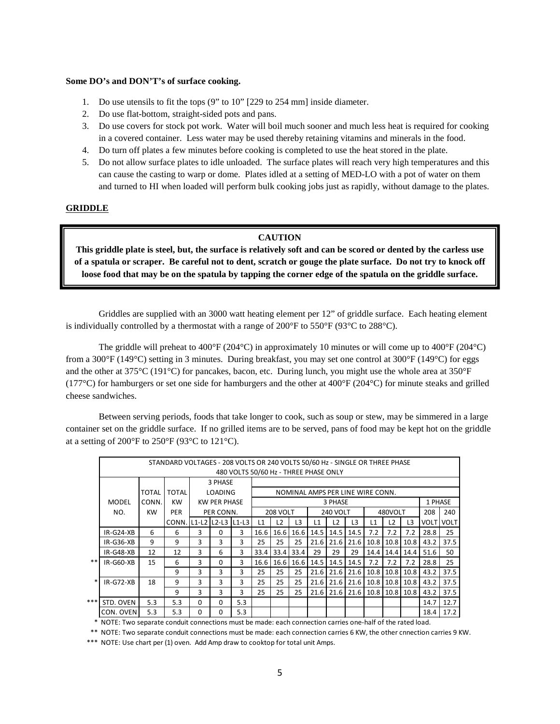#### **Some DO's and DON'T's of surface cooking.**

- 1. Do use utensils to fit the tops (9" to 10" [229 to 254 mm] inside diameter.
- 2. Do use flat-bottom, straight-sided pots and pans.
- 3. Do use covers for stock pot work. Water will boil much sooner and much less heat is required for cooking in a covered container. Less water may be used thereby retaining vitamins and minerals in the food.
- 4. Do turn off plates a few minutes before cooking is completed to use the heat stored in the plate.
- 5. Do not allow surface plates to idle unloaded. The surface plates will reach very high temperatures and this can cause the casting to warp or dome. Plates idled at a setting of MED-LO with a pot of water on them and turned to HI when loaded will perform bulk cooking jobs just as rapidly, without damage to the plates.

## **GRIDDLE**

#### **CAUTION**

**This griddle plate is steel, but, the surface is relatively soft and can be scored or dented by the carless use of a spatula or scraper. Be careful not to dent, scratch or gouge the plate surface. Do not try to knock off loose food that may be on the spatula by tapping the corner edge of the spatula on the griddle surface.**

Griddles are supplied with an 3000 watt heating element per 12" of griddle surface. Each heating element is individually controlled by a thermostat with a range of  $200^{\circ}$ F to  $550^{\circ}$ F ( $93^{\circ}$ C to  $288^{\circ}$ C).

The griddle will preheat to 400°F (204°C) in approximately 10 minutes or will come up to 400°F (204°C) from a 300°F (149°C) setting in 3 minutes. During breakfast, you may set one control at 300°F (149°C) for eggs and the other at 375°C (191°C) for pancakes, bacon, etc. During lunch, you might use the whole area at 350°F (177 $^{\circ}$ C) for hamburgers or set one side for hamburgers and the other at 400 $^{\circ}$ F (204 $^{\circ}$ C) for minute steaks and grilled cheese sandwiches.

Between serving periods, foods that take longer to cook, such as soup or stew, may be simmered in a large container set on the griddle surface. If no grilled items are to be served, pans of food may be kept hot on the griddle at a setting of 200 $\mathrm{P}$  to 250 $\mathrm{P}$  (93 $\mathrm{C}$  to 121 $\mathrm{C}$ ).

|     | STANDARD VOLTAGES - 208 VOLTS OR 240 VOLTS 50/60 Hz - SINGLE OR THREE PHASE |                                           |              |                |                      |                 |                                  |                 |                |      |         |                |                          |               |      |             |             |  |
|-----|-----------------------------------------------------------------------------|-------------------------------------------|--------------|----------------|----------------------|-----------------|----------------------------------|-----------------|----------------|------|---------|----------------|--------------------------|---------------|------|-------------|-------------|--|
|     | 480 VOLTS 50/60 Hz - THREE PHASE ONLY                                       |                                           |              |                |                      |                 |                                  |                 |                |      |         |                |                          |               |      |             |             |  |
|     |                                                                             |                                           |              |                | 3 PHASE              |                 |                                  |                 |                |      |         |                |                          |               |      |             |             |  |
|     |                                                                             | <b>TOTAL</b>                              | <b>TOTAL</b> | <b>LOADING</b> |                      |                 | NOMINAL AMPS PER LINE WIRE CONN. |                 |                |      |         |                |                          |               |      |             |             |  |
|     | MODEL                                                                       | <b>KW</b><br><b>KW PER PHASE</b><br>CONN. |              |                | 3 PHASE              |                 |                                  |                 |                |      |         |                | 1 PHASE                  |               |      |             |             |  |
|     | NO.                                                                         | <b>KW</b>                                 | <b>PER</b>   | PER CONN.      |                      | <b>208 VOLT</b> |                                  | <b>240 VOLT</b> |                |      | 480VOLT |                |                          | 208           | 240  |             |             |  |
|     |                                                                             |                                           | CONN.        |                | IL1-L2 IL2-L3 IL1-L3 |                 | L1                               | L2              | L <sub>3</sub> | L1   | L2      | L <sub>3</sub> | L1                       | L2            | L3   | <b>VOLT</b> | <b>VOLT</b> |  |
|     | $IR-G24-XB$                                                                 | 6                                         | 6            | 3              | 0                    | 3               | 16.6                             | 16.6            | 16.6           | 14.5 | 14.5    | 14.5           | 7.2                      | 7.2           | 7.2  | 28.8        | 25          |  |
|     | $IR-G36-XB$                                                                 | 9                                         | 9            | 3              | 3                    | 3               | 25                               | 25              | 25             | 21.6 | 21.6    | 21.6           |                          | $10.8$   10.8 | 10.8 | 43.2        | 37.5        |  |
|     | $IR-G48-XB$                                                                 | 12                                        | 12           | 3              | 6                    | 3               | 33.4                             | 33.4            | 33.4           | 29   | 29      | 29             | 14.4                     | 14.4          | 14.4 | 51.6        | 50          |  |
| **  | $IR-G60-XB$                                                                 | 15                                        | 6            | 3              | <sup>0</sup>         | 3               | 16.6                             | 16.6            | 16.6           | 14.5 | 14.5    | 14.5           | 7.2                      | 7.2           | 7.2  | 28.8        | 25          |  |
|     |                                                                             |                                           | 9            | 3              | 3                    | 3               | 25                               | 25              | 25             | 21.6 | 21.6    | 21.6           |                          | $10.8$   10.8 | 10.8 | 43.2        | 37.5        |  |
| ∗   | $IR-G72-XB$                                                                 | 18                                        | 9            | 3              | 3                    | 3               | 25                               | 25              | 25             | 21.6 |         |                | 21.6 21.6 10.8 10.8 10.8 |               |      | 43.2        | 37.5        |  |
|     |                                                                             |                                           | 9            | 3              | 3                    | 3               | 25                               | 25              | 25             | 21.6 | 21.6    | 21.6           | $10.8$   10.8            |               | 10.8 | 43.2        | 37.5        |  |
| *** | STD. OVEN                                                                   | 5.3                                       | 5.3          | $\Omega$       | 0                    | 5.3             |                                  |                 |                |      |         |                |                          |               |      | 14.7        | 12.7        |  |
|     | CON. OVEN                                                                   | 5.3                                       | 5.3          | $\Omega$       | 0                    | 5.3             |                                  |                 |                |      |         |                |                          |               |      | 18.4        | 17.2        |  |

\* NOTE: Two separate conduit connections must be made: each connection carries one-half of the rated load.

\*\* NOTE: Two separate conduit connections must be made: each connection carries 6 KW, the other cnnection carries 9 KW.

\*\*\* NOTE: Use chart per (1) oven. Add Amp draw to cooktop for total unit Amps.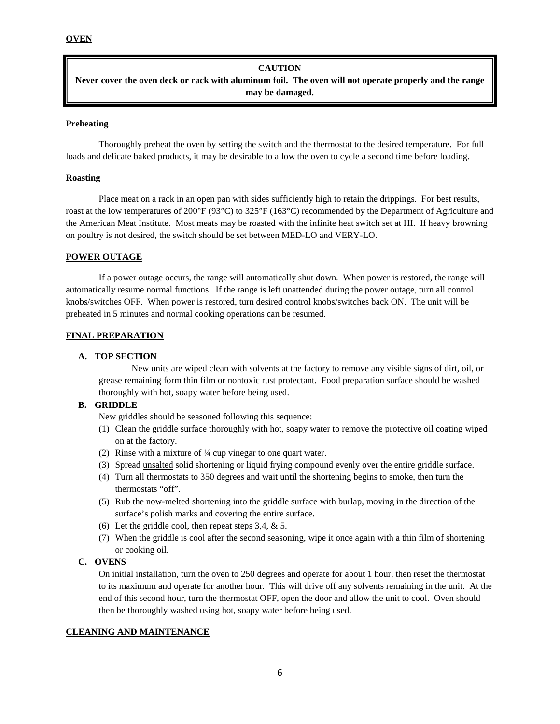#### **CAUTION**

**Never cover the oven deck or rack with aluminum foil. The oven will not operate properly and the range may be damaged.**

### **Preheating**

Thoroughly preheat the oven by setting the switch and the thermostat to the desired temperature. For full loads and delicate baked products, it may be desirable to allow the oven to cycle a second time before loading.

### **Roasting**

Place meat on a rack in an open pan with sides sufficiently high to retain the drippings. For best results, roast at the low temperatures of 200°F (93°C) to 325°F (163°C) recommended by the Department of Agriculture and the American Meat Institute. Most meats may be roasted with the infinite heat switch set at HI. If heavy browning on poultry is not desired, the switch should be set between MED-LO and VERY-LO.

## **POWER OUTAGE**

If a power outage occurs, the range will automatically shut down. When power is restored, the range will automatically resume normal functions. If the range is left unattended during the power outage, turn all control knobs/switches OFF. When power is restored, turn desired control knobs/switches back ON. The unit will be preheated in 5 minutes and normal cooking operations can be resumed.

### **FINAL PREPARATION**

### **A. TOP SECTION**

New units are wiped clean with solvents at the factory to remove any visible signs of dirt, oil, or grease remaining form thin film or nontoxic rust protectant. Food preparation surface should be washed thoroughly with hot, soapy water before being used.

## **B. GRIDDLE**

New griddles should be seasoned following this sequence:

- (1) Clean the griddle surface thoroughly with hot, soapy water to remove the protective oil coating wiped on at the factory.
- (2) Rinse with a mixture of ¼ cup vinegar to one quart water.
- (3) Spread unsalted solid shortening or liquid frying compound evenly over the entire griddle surface.
- (4) Turn all thermostats to 350 degrees and wait until the shortening begins to smoke, then turn the thermostats "off".
- (5) Rub the now-melted shortening into the griddle surface with burlap, moving in the direction of the surface's polish marks and covering the entire surface.
- (6) Let the griddle cool, then repeat steps 3,4, & 5.
- (7) When the griddle is cool after the second seasoning, wipe it once again with a thin film of shortening or cooking oil.

## **C. OVENS**

On initial installation, turn the oven to 250 degrees and operate for about 1 hour, then reset the thermostat to its maximum and operate for another hour. This will drive off any solvents remaining in the unit. At the end of this second hour, turn the thermostat OFF, open the door and allow the unit to cool. Oven should then be thoroughly washed using hot, soapy water before being used.

#### **CLEANING AND MAINTENANCE**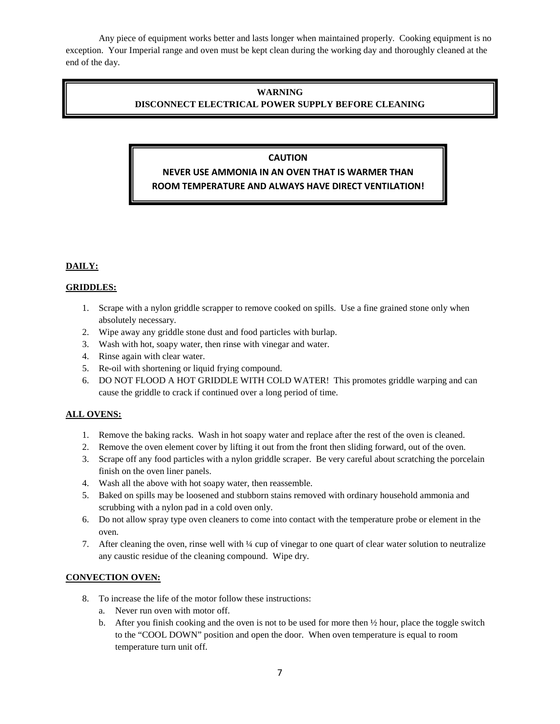Any piece of equipment works better and lasts longer when maintained properly. Cooking equipment is no exception. Your Imperial range and oven must be kept clean during the working day and thoroughly cleaned at the end of the day.

## **WARNING DISCONNECT ELECTRICAL POWER SUPPLY BEFORE CLEANING**

## **CAUTION**

# **NEVER USE AMMONIA IN AN OVEN THAT IS WARMER THAN ROOM TEMPERATURE AND ALWAYS HAVE DIRECT VENTILATION!**

## **DAILY:**

## **GRIDDLES:**

- 1. Scrape with a nylon griddle scrapper to remove cooked on spills. Use a fine grained stone only when absolutely necessary.
- 2. Wipe away any griddle stone dust and food particles with burlap.
- 3. Wash with hot, soapy water, then rinse with vinegar and water.
- 4. Rinse again with clear water.
- 5. Re-oil with shortening or liquid frying compound.
- 6. DO NOT FLOOD A HOT GRIDDLE WITH COLD WATER! This promotes griddle warping and can cause the griddle to crack if continued over a long period of time.

## **ALL OVENS:**

- 1. Remove the baking racks. Wash in hot soapy water and replace after the rest of the oven is cleaned.
- 2. Remove the oven element cover by lifting it out from the front then sliding forward, out of the oven.
- 3. Scrape off any food particles with a nylon griddle scraper. Be very careful about scratching the porcelain finish on the oven liner panels.
- 4. Wash all the above with hot soapy water, then reassemble.
- 5. Baked on spills may be loosened and stubborn stains removed with ordinary household ammonia and scrubbing with a nylon pad in a cold oven only.
- 6. Do not allow spray type oven cleaners to come into contact with the temperature probe or element in the oven.
- 7. After cleaning the oven, rinse well with ¼ cup of vinegar to one quart of clear water solution to neutralize any caustic residue of the cleaning compound. Wipe dry.

## **CONVECTION OVEN:**

- 8. To increase the life of the motor follow these instructions:
	- a. Never run oven with motor off.
	- b. After you finish cooking and the oven is not to be used for more then  $\frac{1}{2}$  hour, place the toggle switch to the "COOL DOWN" position and open the door. When oven temperature is equal to room temperature turn unit off.